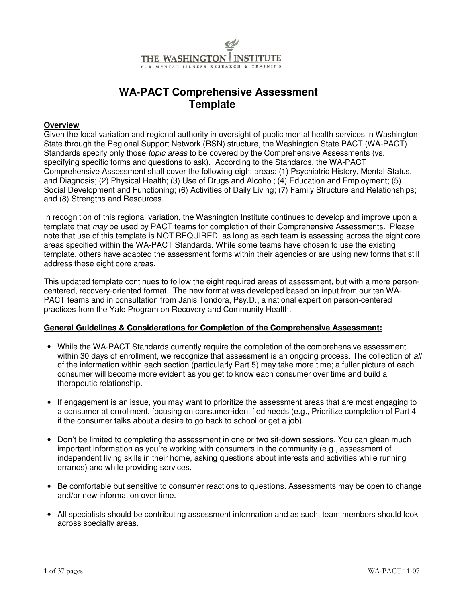

#### **WA-PACT Comprehensive Assessment Template**

#### **Overview**

Given the local variation and regional authority in oversight of public mental health services in Washington State through the Regional Support Network (RSN) structure, the Washington State PACT (WA-PACT) Standards specify only those *topic areas* to be covered by the Comprehensive Assessments (vs. specifying specific forms and questions to ask). According to the Standards, the WA-PACT Comprehensive Assessment shall cover the following eight areas: (1) Psychiatric History, Mental Status, and Diagnosis; (2) Physical Health; (3) Use of Drugs and Alcohol; (4) Education and Employment; (5) Social Development and Functioning; (6) Activities of Daily Living; (7) Family Structure and Relationships; and (8) Strengths and Resources.

In recognition of this regional variation, the Washington Institute continues to develop and improve upon a template that may be used by PACT teams for completion of their Comprehensive Assessments. Please note that use of this template is NOT REQUIRED, as long as each team is assessing across the eight core areas specified within the WA-PACT Standards. While some teams have chosen to use the existing template, others have adapted the assessment forms within their agencies or are using new forms that still address these eight core areas.

This updated template continues to follow the eight required areas of assessment, but with a more personcentered, recovery-oriented format. The new format was developed based on input from our ten WA-PACT teams and in consultation from Janis Tondora, Psy.D., a national expert on person-centered practices from the Yale Program on Recovery and Community Health.

#### **General Guidelines & Considerations for Completion of the Comprehensive Assessment:**

- While the WA-PACT Standards currently require the completion of the comprehensive assessment within 30 days of enrollment, we recognize that assessment is an ongoing process. The collection of all of the information within each section (particularly Part 5) may take more time; a fuller picture of each consumer will become more evident as you get to know each consumer over time and build a therapeutic relationship.
- If engagement is an issue, you may want to prioritize the assessment areas that are most engaging to a consumer at enrollment, focusing on consumer-identified needs (e.g., Prioritize completion of Part 4 if the consumer talks about a desire to go back to school or get a job).
- Don't be limited to completing the assessment in one or two sit-down sessions. You can glean much important information as you're working with consumers in the community (e.g., assessment of independent living skills in their home, asking questions about interests and activities while running errands) and while providing services.
- Be comfortable but sensitive to consumer reactions to questions. Assessments may be open to change and/or new information over time.
- All specialists should be contributing assessment information and as such, team members should look across specialty areas.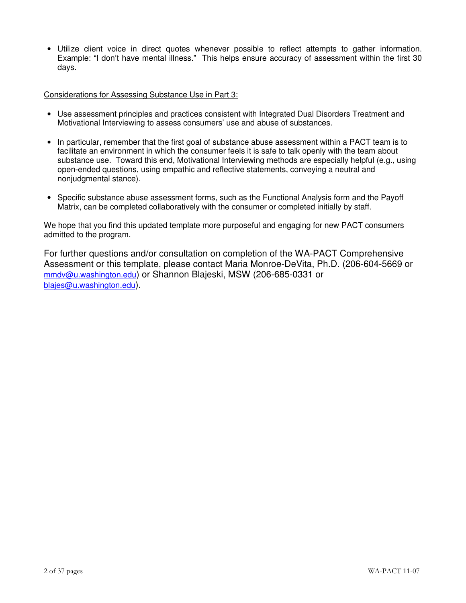• Utilize client voice in direct quotes whenever possible to reflect attempts to gather information. Example: "I don't have mental illness." This helps ensure accuracy of assessment within the first 30 days.

#### Considerations for Assessing Substance Use in Part 3:

- Use assessment principles and practices consistent with Integrated Dual Disorders Treatment and Motivational Interviewing to assess consumers' use and abuse of substances.
- In particular, remember that the first goal of substance abuse assessment within a PACT team is to facilitate an environment in which the consumer feels it is safe to talk openly with the team about substance use. Toward this end, Motivational Interviewing methods are especially helpful (e.g., using open-ended questions, using empathic and reflective statements, conveying a neutral and nonjudgmental stance).
- Specific substance abuse assessment forms, such as the Functional Analysis form and the Payoff Matrix, can be completed collaboratively with the consumer or completed initially by staff.

We hope that you find this updated template more purposeful and engaging for new PACT consumers admitted to the program.

For further questions and/or consultation on completion of the WA-PACT Comprehensive Assessment or this template, please contact Maria Monroe-DeVita, Ph.D. (206-604-5669 or mmdv@u.washington.edu) or Shannon Blajeski, MSW (206-685-0331 or blajes@u.washington.edu).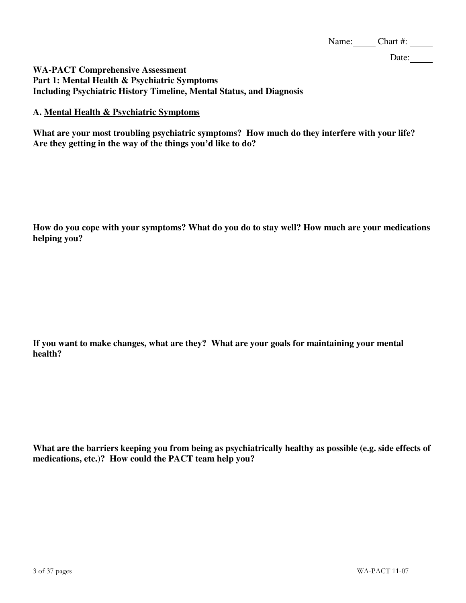Date:

#### **WA-PACT Comprehensive Assessment Part 1: Mental Health & Psychiatric Symptoms Including Psychiatric History Timeline, Mental Status, and Diagnosis**

#### **A. Mental Health & Psychiatric Symptoms**

**What are your most troubling psychiatric symptoms? How much do they interfere with your life? Are they getting in the way of the things you'd like to do?** 

**How do you cope with your symptoms? What do you do to stay well? How much are your medications helping you?** 

**If you want to make changes, what are they? What are your goals for maintaining your mental health?** 

**What are the barriers keeping you from being as psychiatrically healthy as possible (e.g. side effects of medications, etc.)? How could the PACT team help you?**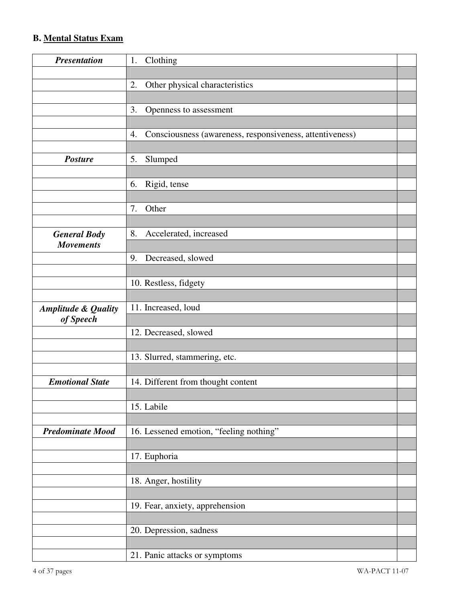#### **B. Mental Status Exam**

| <b>Presentation</b>            | Clothing<br>1.                                                 |  |
|--------------------------------|----------------------------------------------------------------|--|
|                                |                                                                |  |
|                                | Other physical characteristics<br>2.                           |  |
|                                |                                                                |  |
|                                | 3.<br>Openness to assessment                                   |  |
|                                |                                                                |  |
|                                | Consciousness (awareness, responsiveness, attentiveness)<br>4. |  |
|                                |                                                                |  |
| <b>Posture</b>                 | Slumped<br>5.                                                  |  |
|                                |                                                                |  |
|                                | Rigid, tense<br>6.                                             |  |
|                                |                                                                |  |
|                                | 7.<br>Other                                                    |  |
|                                |                                                                |  |
| <b>General Body</b>            | Accelerated, increased<br>8.                                   |  |
| <b>Movements</b>               |                                                                |  |
|                                | 9.<br>Decreased, slowed                                        |  |
|                                |                                                                |  |
|                                | 10. Restless, fidgety                                          |  |
|                                |                                                                |  |
| <b>Amplitude &amp; Quality</b> | 11. Increased, loud                                            |  |
| of Speech                      |                                                                |  |
|                                | 12. Decreased, slowed                                          |  |
|                                | 13. Slurred, stammering, etc.                                  |  |
|                                |                                                                |  |
| <b>Emotional State</b>         | 14. Different from thought content                             |  |
|                                |                                                                |  |
|                                | 15. Labile                                                     |  |
|                                |                                                                |  |
| <b>Predominate Mood</b>        | 16. Lessened emotion, "feeling nothing"                        |  |
|                                |                                                                |  |
|                                | 17. Euphoria                                                   |  |
|                                |                                                                |  |
|                                | 18. Anger, hostility                                           |  |
|                                |                                                                |  |
|                                | 19. Fear, anxiety, apprehension                                |  |
|                                |                                                                |  |
|                                | 20. Depression, sadness                                        |  |
|                                |                                                                |  |
|                                | 21. Panic attacks or symptoms                                  |  |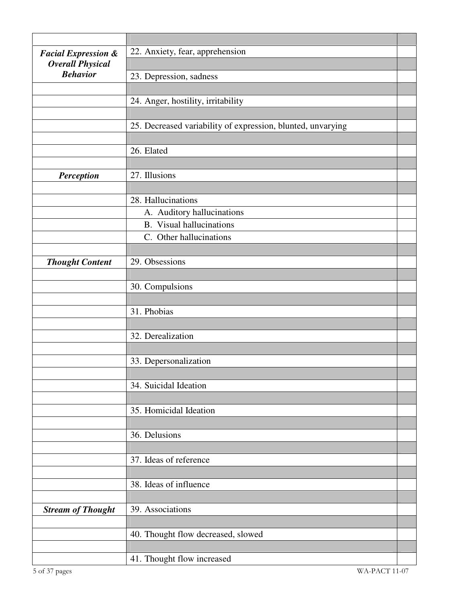| <b>Facial Expression &amp;</b> | 22. Anxiety, fear, apprehension                             |  |
|--------------------------------|-------------------------------------------------------------|--|
| <b>Overall Physical</b>        |                                                             |  |
| <b>Behavior</b>                | 23. Depression, sadness                                     |  |
|                                |                                                             |  |
|                                | 24. Anger, hostility, irritability                          |  |
|                                |                                                             |  |
|                                | 25. Decreased variability of expression, blunted, unvarying |  |
|                                |                                                             |  |
|                                | 26. Elated                                                  |  |
|                                |                                                             |  |
| <b>Perception</b>              | 27. Illusions                                               |  |
|                                |                                                             |  |
|                                | 28. Hallucinations                                          |  |
|                                | A. Auditory hallucinations                                  |  |
|                                | <b>B.</b> Visual hallucinations                             |  |
|                                | C. Other hallucinations                                     |  |
|                                |                                                             |  |
| <b>Thought Content</b>         | 29. Obsessions                                              |  |
|                                |                                                             |  |
|                                | 30. Compulsions                                             |  |
|                                | 31. Phobias                                                 |  |
|                                |                                                             |  |
|                                | 32. Derealization                                           |  |
|                                |                                                             |  |
|                                | 33. Depersonalization                                       |  |
|                                |                                                             |  |
|                                | 34. Suicidal Ideation                                       |  |
|                                |                                                             |  |
|                                | 35. Homicidal Ideation                                      |  |
|                                |                                                             |  |
|                                | 36. Delusions                                               |  |
|                                |                                                             |  |
|                                | 37. Ideas of reference                                      |  |
|                                |                                                             |  |
|                                | 38. Ideas of influence                                      |  |
|                                |                                                             |  |
| <b>Stream of Thought</b>       | 39. Associations                                            |  |
|                                |                                                             |  |
|                                | 40. Thought flow decreased, slowed                          |  |
|                                |                                                             |  |
|                                | 41. Thought flow increased                                  |  |
| 5 of 37 pages                  | WA-PACT 11-07                                               |  |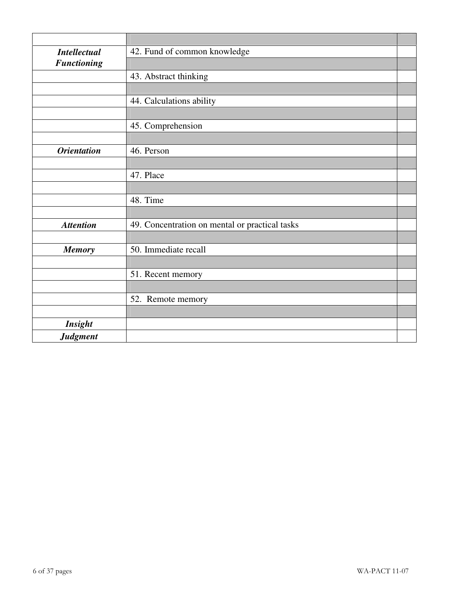| <b>Intellectual</b> | 42. Fund of common knowledge                   |
|---------------------|------------------------------------------------|
| <b>Functioning</b>  |                                                |
|                     | 43. Abstract thinking                          |
|                     |                                                |
|                     | 44. Calculations ability                       |
|                     |                                                |
|                     | 45. Comprehension                              |
|                     |                                                |
| <b>Orientation</b>  | 46. Person                                     |
|                     |                                                |
|                     | 47. Place                                      |
|                     |                                                |
|                     | 48. Time                                       |
|                     |                                                |
| <b>Attention</b>    | 49. Concentration on mental or practical tasks |
|                     |                                                |
| <b>Memory</b>       | 50. Immediate recall                           |
|                     |                                                |
|                     | 51. Recent memory                              |
|                     |                                                |
|                     | 52. Remote memory                              |
|                     |                                                |
| <b>Insight</b>      |                                                |
| <b>Judgment</b>     |                                                |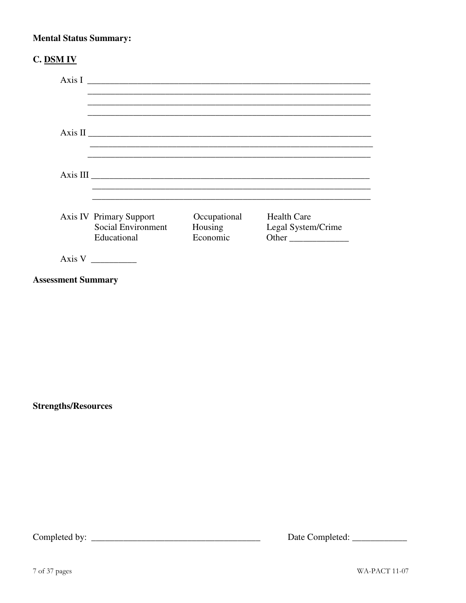#### **Mental Status Summary:**

| <b>C. DSM IV</b>          |                                   |                     |                    |
|---------------------------|-----------------------------------|---------------------|--------------------|
|                           |                                   |                     | Axis I             |
|                           |                                   |                     |                    |
|                           |                                   |                     |                    |
|                           |                                   |                     |                    |
|                           |                                   |                     |                    |
|                           |                                   |                     |                    |
|                           |                                   |                     |                    |
|                           | <b>Axis IV Primary Support</b>    | Occupational        | <b>Health Care</b> |
|                           | Social Environment<br>Educational | Housing<br>Economic | Legal System/Crime |
|                           |                                   |                     |                    |
|                           | Axis V                            |                     |                    |
| <b>Assessment Summary</b> |                                   |                     |                    |

**Strengths/Resources**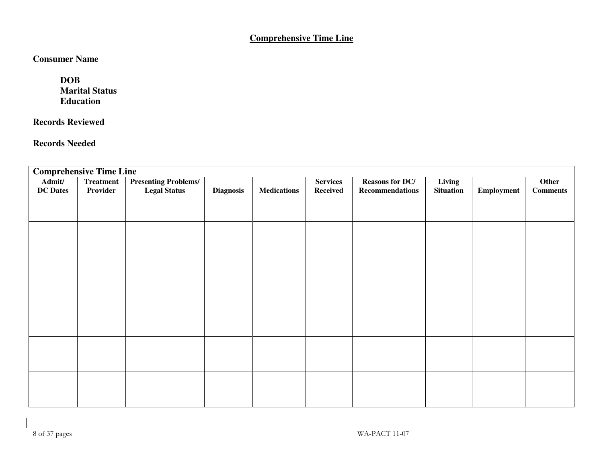#### **Comprehensive Time Line**

#### **Consumer Name**

 **DOB Marital Status Education** 

#### **Records Reviewed**

#### **Records Needed**

|                 | <b>Comprehensive Time Line</b> |                             |                  |                    |                 |                        |                  |                   |                 |
|-----------------|--------------------------------|-----------------------------|------------------|--------------------|-----------------|------------------------|------------------|-------------------|-----------------|
| Admit/          | <b>Treatment</b>               | <b>Presenting Problems/</b> |                  |                    | <b>Services</b> | <b>Reasons for DC/</b> | Living           |                   | Other           |
| <b>DC</b> Dates | Provider                       | <b>Legal Status</b>         | <b>Diagnosis</b> | <b>Medications</b> | <b>Received</b> | <b>Recommendations</b> | <b>Situation</b> | <b>Employment</b> | <b>Comments</b> |
|                 |                                |                             |                  |                    |                 |                        |                  |                   |                 |
|                 |                                |                             |                  |                    |                 |                        |                  |                   |                 |
|                 |                                |                             |                  |                    |                 |                        |                  |                   |                 |
|                 |                                |                             |                  |                    |                 |                        |                  |                   |                 |
|                 |                                |                             |                  |                    |                 |                        |                  |                   |                 |
|                 |                                |                             |                  |                    |                 |                        |                  |                   |                 |
|                 |                                |                             |                  |                    |                 |                        |                  |                   |                 |
|                 |                                |                             |                  |                    |                 |                        |                  |                   |                 |
|                 |                                |                             |                  |                    |                 |                        |                  |                   |                 |
|                 |                                |                             |                  |                    |                 |                        |                  |                   |                 |
|                 |                                |                             |                  |                    |                 |                        |                  |                   |                 |
|                 |                                |                             |                  |                    |                 |                        |                  |                   |                 |
|                 |                                |                             |                  |                    |                 |                        |                  |                   |                 |
|                 |                                |                             |                  |                    |                 |                        |                  |                   |                 |
|                 |                                |                             |                  |                    |                 |                        |                  |                   |                 |
|                 |                                |                             |                  |                    |                 |                        |                  |                   |                 |
|                 |                                |                             |                  |                    |                 |                        |                  |                   |                 |
|                 |                                |                             |                  |                    |                 |                        |                  |                   |                 |
|                 |                                |                             |                  |                    |                 |                        |                  |                   |                 |
|                 |                                |                             |                  |                    |                 |                        |                  |                   |                 |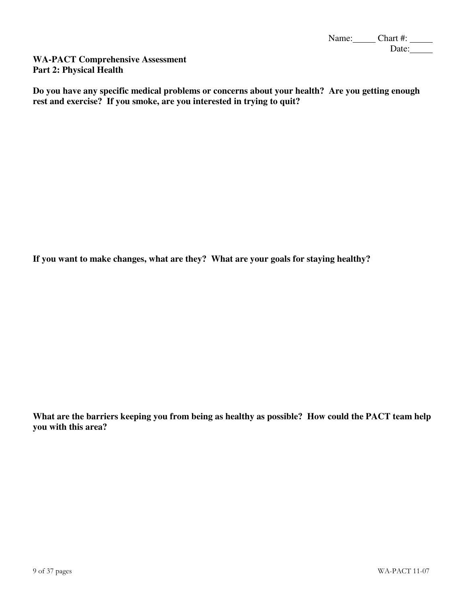Name: Chart #: Date:

**WA-PACT Comprehensive Assessment Part 2: Physical Health** 

**Do you have any specific medical problems or concerns about your health? Are you getting enough rest and exercise? If you smoke, are you interested in trying to quit?** 

**If you want to make changes, what are they? What are your goals for staying healthy?** 

**What are the barriers keeping you from being as healthy as possible? How could the PACT team help you with this area?**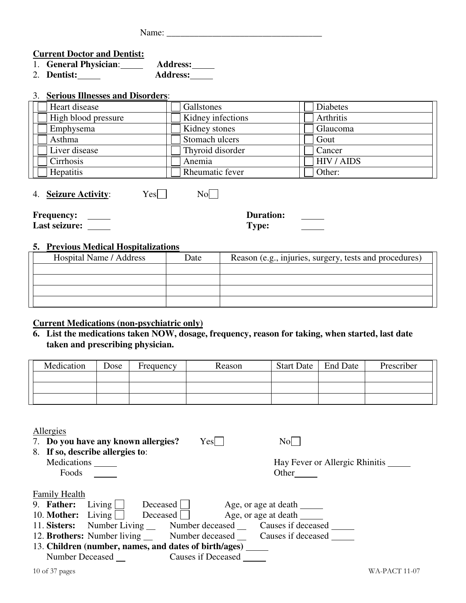Name: \_\_\_\_\_\_\_\_\_\_\_\_\_\_\_\_\_\_\_\_\_\_\_\_\_\_\_\_\_\_\_\_\_\_

#### **Current Doctor and Dentist:**

| 1. General Physician: | <b>Address:</b> |
|-----------------------|-----------------|
| 2. Dentist:           | <b>Address:</b> |

#### 3. **Serious Illnesses and Disorders**:

| Heart disease       | Gallstones        | Diabetes   |
|---------------------|-------------------|------------|
| High blood pressure | Kidney infections | Arthritis  |
| Emphysema           | Kidney stones     | Glaucoma   |
| Asthma              | Stomach ulcers    | Gout       |
| Liver disease       | Thyroid disorder  | Cancer     |
| Cirrhosis           | Anemia            | HIV / AIDS |
| <b>Hepatitis</b>    | Rheumatic fever   | Other:     |

4. **Seizure Activity**: Yes No

**Frequency: Last seizure:** **Duration: Type:**

#### **5. Previous Medical Hospitalizations**

| Hospital Name / Address | Date | Reason (e.g., injuries, surgery, tests and procedures) |
|-------------------------|------|--------------------------------------------------------|
|                         |      |                                                        |
|                         |      |                                                        |
|                         |      |                                                        |
|                         |      |                                                        |

#### **Current Medications (non-psychiatric only)**

#### **6. List the medications taken NOW, dosage, frequency, reason for taking, when started, last date taken and prescribing physician.**

| Medication | Dose | Frequency | Reason | <b>Start Date</b> | <b>End Date</b> | Prescriber |
|------------|------|-----------|--------|-------------------|-----------------|------------|
|            |      |           |        |                   |                 |            |
|            |      |           |        |                   |                 |            |
|            |      |           |        |                   |                 |            |

| Allergies                                                                           |                           |                                |
|-------------------------------------------------------------------------------------|---------------------------|--------------------------------|
| 7. Do you have any known allergies?                                                 | Yes                       | Nol                            |
| 8. If so, describe allergies to:                                                    |                           |                                |
| Medications                                                                         |                           | Hay Fever or Allergic Rhinitis |
| Foods                                                                               |                           | Other                          |
|                                                                                     |                           |                                |
| <b>Family Health</b>                                                                |                           |                                |
| Living $\vert$<br>9. Father:<br>$Deceased$                                          |                           | Age, or age at death           |
| 10. <b>Mother:</b> Living<br>Deceased                                               |                           | Age, or age at death           |
| Number Living _____ Number deceased ______ Causes if deceased _____<br>11. Sisters: |                           |                                |
| 12. Brothers: Number living Number deceased Causes if deceased                      |                           |                                |
| 13. Children (number, names, and dates of birth/ages)                               |                           |                                |
| <b>Number Deceased</b>                                                              | <b>Causes if Deceased</b> |                                |
|                                                                                     |                           |                                |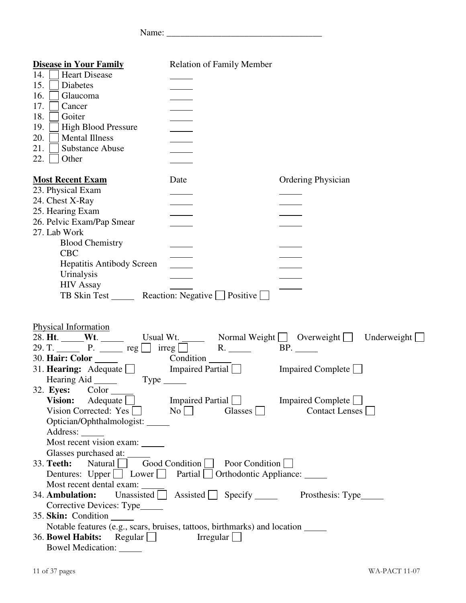Name: \_\_\_\_\_\_\_\_\_\_\_\_\_\_\_\_\_\_\_\_\_\_\_\_\_\_\_\_\_\_\_\_\_\_

| <b>Disease in Your Family</b>                                                                    | <b>Relation of Family Member</b>                                  |                                                                |
|--------------------------------------------------------------------------------------------------|-------------------------------------------------------------------|----------------------------------------------------------------|
| <b>Heart Disease</b><br>14.                                                                      |                                                                   |                                                                |
| 15.<br><b>Diabetes</b>                                                                           |                                                                   |                                                                |
| 16.<br>Glaucoma                                                                                  |                                                                   |                                                                |
| 17.<br>Cancer                                                                                    |                                                                   |                                                                |
| 18.<br>Goiter                                                                                    |                                                                   |                                                                |
| High Blood Pressure<br>19.                                                                       |                                                                   |                                                                |
| 20.<br><b>Mental Illness</b>                                                                     | $\overline{\phantom{a}}$                                          |                                                                |
| 21.<br><b>Substance Abuse</b>                                                                    |                                                                   |                                                                |
| 22.<br>Other                                                                                     |                                                                   |                                                                |
| <b>Most Recent Exam</b>                                                                          | Date                                                              | <b>Ordering Physician</b>                                      |
| 23. Physical Exam                                                                                |                                                                   |                                                                |
| 24. Chest X-Ray                                                                                  |                                                                   |                                                                |
| 25. Hearing Exam                                                                                 |                                                                   |                                                                |
| 26. Pelvic Exam/Pap Smear                                                                        |                                                                   |                                                                |
| 27. Lab Work                                                                                     |                                                                   |                                                                |
| <b>Blood Chemistry</b>                                                                           |                                                                   |                                                                |
| <b>CBC</b>                                                                                       |                                                                   |                                                                |
| <b>Hepatitis Antibody Screen</b>                                                                 | $\mathcal{L}^{\text{max}}$                                        |                                                                |
| Urinalysis                                                                                       |                                                                   |                                                                |
| <b>HIV Assay</b><br>TB Skin Test _______ Reaction: Negative Positive                             |                                                                   |                                                                |
|                                                                                                  |                                                                   |                                                                |
| Physical Information                                                                             |                                                                   |                                                                |
|                                                                                                  |                                                                   | 28. Ht. Wt. Usual Wt. Normal Weight   Overweight   Underweight |
| 29. T. P. $\qquad \qquad$ P. $\qquad \qquad$ reg $\Box$ irreg $\Box$ R. $\Box$                   |                                                                   | BP.                                                            |
| 30. Hair: Color _______ _______ Condition _______                                                |                                                                   |                                                                |
| 31. Hearing: Adequate Impaired Partial Impaired Complete                                         |                                                                   |                                                                |
| Hearing Aid Type                                                                                 |                                                                   |                                                                |
| 32. <b>Eyes:</b><br>$Color$ <sub><math>\_\_</math></sub>                                         |                                                                   |                                                                |
| Vision: Adequate                                                                                 | Impaired Partial Impaired Complete                                |                                                                |
| Vision Corrected: Yes                                                                            | $\vert$ No $\vert$<br>Glasses    <br>$\blacksquare$               | Contact Lenses                                                 |
| Optician/Ophthalmologist: ______                                                                 |                                                                   |                                                                |
| Address: _______                                                                                 |                                                                   |                                                                |
| Most recent vision exam:                                                                         |                                                                   |                                                                |
| Glasses purchased at: ______                                                                     | Good Condition                                                    |                                                                |
| 33. Teeth:<br>Natural                                                                            | Poor Condition                                                    |                                                                |
| Dentures: Upper Lower Partial Orthodontic Appliance:                                             |                                                                   |                                                                |
| Most recent dental exam:<br>34. Ambulation:                                                      | Unassisted $\Box$ Assisted $\Box$ Specify $\Box$ Prosthesis: Type |                                                                |
|                                                                                                  |                                                                   |                                                                |
| Corrective Devices: Type_____                                                                    |                                                                   |                                                                |
| 35. Skin: Condition<br>Notable features (e.g., scars, bruises, tattoos, birthmarks) and location |                                                                   |                                                                |
| 36. Bowel Habits:<br>Regular                                                                     | $Irregular$                                                       |                                                                |
| Bowel Medication: ______                                                                         |                                                                   |                                                                |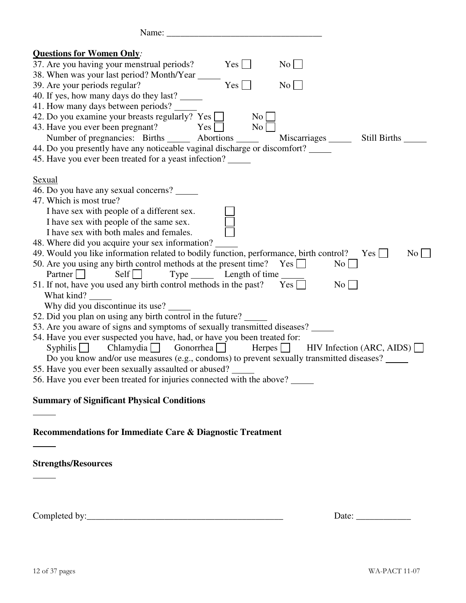| Name:                                                                                     |                     |                  |                                   |
|-------------------------------------------------------------------------------------------|---------------------|------------------|-----------------------------------|
| <b>Questions for Women Only:</b>                                                          |                     |                  |                                   |
| 37. Are you having your menstrual periods?                                                | Yes                 | $\overline{N_0}$ |                                   |
|                                                                                           |                     |                  |                                   |
| 39. Are your periods regular?                                                             | $Yes \Box$          | $\rm No$         |                                   |
| 40. If yes, how many days do they last?                                                   |                     |                  |                                   |
| 41. How many days between periods?                                                        |                     |                  |                                   |
| 42. Do you examine your breasts regularly? Yes $\Box$                                     | No                  |                  |                                   |
| 43. Have you ever been pregnant?<br>Yes                                                   | No                  |                  |                                   |
| Number of pregnancies: Births _______ Abortions ______                                    |                     |                  | Miscarriages _______ Still Births |
| 44. Do you presently have any noticeable vaginal discharge or discomfort?                 |                     |                  |                                   |
| 45. Have you ever been treated for a yeast infection?                                     |                     |                  |                                   |
| <b>Sexual</b>                                                                             |                     |                  |                                   |
| 46. Do you have any sexual concerns?                                                      |                     |                  |                                   |
| 47. Which is most true?                                                                   |                     |                  |                                   |
| I have sex with people of a different sex.                                                |                     |                  |                                   |
| I have sex with people of the same sex.                                                   |                     |                  |                                   |
| I have sex with both males and females.                                                   |                     |                  |                                   |
| 48. Where did you acquire your sex information?                                           |                     |                  |                                   |
| 49. Would you like information related to bodily function, performance, birth control?    |                     |                  | $Yes$  <br>No <sub>1</sub>        |
| 50. Are you using any birth control methods at the present time? Yes $\Box$               |                     |                  | No <sub>1</sub>                   |
| Partner $\Box$<br>$\left  \right $                                                        | Type Length of time |                  |                                   |
| 51. If not, have you used any birth control methods in the past? Yes $\Box$               |                     |                  | No <sub>1</sub>                   |
| What kind?                                                                                |                     |                  |                                   |
| Why did you discontinue its use?                                                          |                     |                  |                                   |
| 52. Did you plan on using any birth control in the future?                                |                     |                  |                                   |
| 53. Are you aware of signs and symptoms of sexually transmitted diseases?                 |                     |                  |                                   |
| 54. Have you ever suspected you have, had, or have you been treated for:                  |                     |                  |                                   |
| Syphilis Chlamydia Gonorrhea Herpes HIV Infection (ARC, AIDS)                             |                     |                  |                                   |
| Do you know and/or use measures (e.g., condoms) to prevent sexually transmitted diseases? |                     |                  |                                   |
| 55. Have you ever been sexually assaulted or abused?                                      |                     |                  |                                   |
| 56. Have you ever been treated for injuries connected with the above?                     |                     |                  |                                   |
|                                                                                           |                     |                  |                                   |
| <b>Summary of Significant Physical Conditions</b>                                         |                     |                  |                                   |
|                                                                                           |                     |                  |                                   |
| <b>Recommendations for Immediate Care &amp; Diagnostic Treatment</b>                      |                     |                  |                                   |
|                                                                                           |                     |                  |                                   |
| <b>Strengths/Resources</b>                                                                |                     |                  |                                   |
|                                                                                           |                     |                  |                                   |
|                                                                                           |                     |                  |                                   |

Completed by:\_\_\_\_\_\_\_\_\_\_\_\_\_\_\_\_\_\_\_\_\_\_\_\_\_\_\_\_\_\_\_\_\_\_\_\_\_\_\_\_\_\_\_ Date: \_\_\_\_\_\_\_\_\_\_\_\_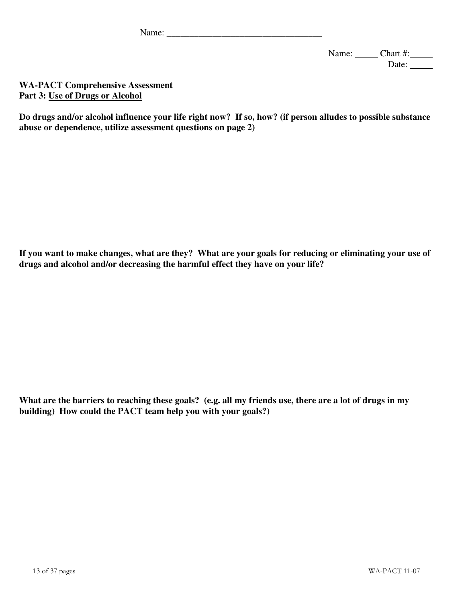Name: \_\_\_\_\_\_\_\_\_\_\_\_\_\_\_\_\_\_\_\_\_\_\_\_\_\_\_\_\_\_\_\_\_\_

Name: Chart #: Date:

**WA-PACT Comprehensive Assessment Part 3: Use of Drugs or Alcohol**

**Do drugs and/or alcohol influence your life right now? If so, how? (if person alludes to possible substance abuse or dependence, utilize assessment questions on page 2)** 

**If you want to make changes, what are they? What are your goals for reducing or eliminating your use of drugs and alcohol and/or decreasing the harmful effect they have on your life?** 

**What are the barriers to reaching these goals? (e.g. all my friends use, there are a lot of drugs in my building) How could the PACT team help you with your goals?)**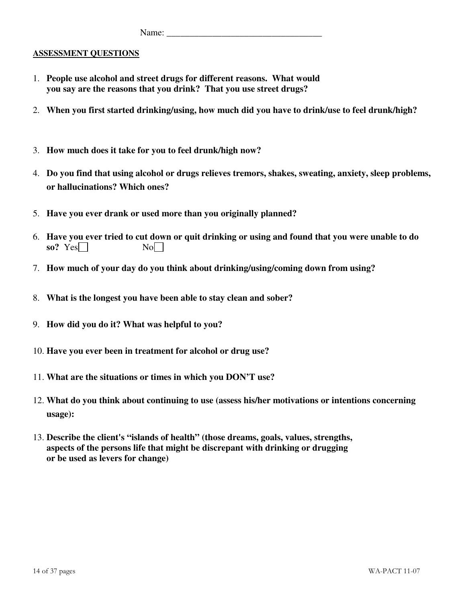Name: \_\_\_\_\_\_\_\_\_\_\_\_\_\_\_\_\_\_\_\_\_\_\_\_\_\_\_\_\_\_\_\_\_\_

#### **ASSESSMENT QUESTIONS**

- 1. **People use alcohol and street drugs for different reasons. What would you say are the reasons that you drink? That you use street drugs?**
- 2. **When you first started drinking/using, how much did you have to drink/use to feel drunk/high?**
- 3. **How much does it take for you to feel drunk/high now?**
- 4. **Do you find that using alcohol or drugs relieves tremors, shakes, sweating, anxiety, sleep problems, or hallucinations? Which ones?**
- 5. **Have you ever drank or used more than you originally planned?**
- 6. **Have you ever tried to cut down or quit drinking or using and found that you were unable to do**   $\textbf{so?} \ \text{Yes}$  No
- 7. **How much of your day do you think about drinking/using/coming down from using?**
- 8. **What is the longest you have been able to stay clean and sober?**
- 9. **How did you do it? What was helpful to you?**
- 10. **Have you ever been in treatment for alcohol or drug use?**
- 11. **What are the situations or times in which you DON'T use?**
- 12. **What do you think about continuing to use (assess his/her motivations or intentions concerning usage):**
- 13. **Describe the client's "islands of health" (those dreams, goals, values, strengths, aspects of the persons life that might be discrepant with drinking or drugging or be used as levers for change)**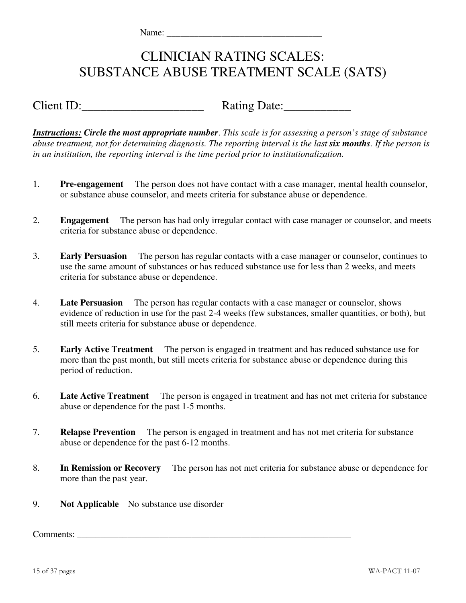# CLINICIAN RATING SCALES: SUBSTANCE ABUSE TREATMENT SCALE (SATS)

Client ID: Rating Date:

*Instructions: Circle the most appropriate number*. *This scale is for assessing a person's stage of substance abuse treatment, not for determining diagnosis. The reporting interval is the last six months. If the person is in an institution, the reporting interval is the time period prior to institutionalization.*

- 1. **Pre-engagement** The person does not have contact with a case manager, mental health counselor, or substance abuse counselor, and meets criteria for substance abuse or dependence.
- 2. **Engagement** The person has had only irregular contact with case manager or counselor, and meets criteria for substance abuse or dependence.
- 3. **Early Persuasion** The person has regular contacts with a case manager or counselor, continues to use the same amount of substances or has reduced substance use for less than 2 weeks, and meets criteria for substance abuse or dependence.
- 4. **Late Persuasion** The person has regular contacts with a case manager or counselor, shows evidence of reduction in use for the past 2-4 weeks (few substances, smaller quantities, or both), but still meets criteria for substance abuse or dependence.
- 5. **Early Active Treatment** The person is engaged in treatment and has reduced substance use for more than the past month, but still meets criteria for substance abuse or dependence during this period of reduction.
- 6. **Late Active Treatment** The person is engaged in treatment and has not met criteria for substance abuse or dependence for the past 1-5 months.
- 7. **Relapse Prevention** The person is engaged in treatment and has not met criteria for substance abuse or dependence for the past 6-12 months.
- 8. **In Remission or Recovery** The person has not met criteria for substance abuse or dependence for more than the past year.
- 9. **Not Applicable** No substance use disorder

Comments: \_\_\_\_\_\_\_\_\_\_\_\_\_\_\_\_\_\_\_\_\_\_\_\_\_\_\_\_\_\_\_\_\_\_\_\_\_\_\_\_\_\_\_\_\_\_\_\_\_\_\_\_\_\_\_\_\_\_\_\_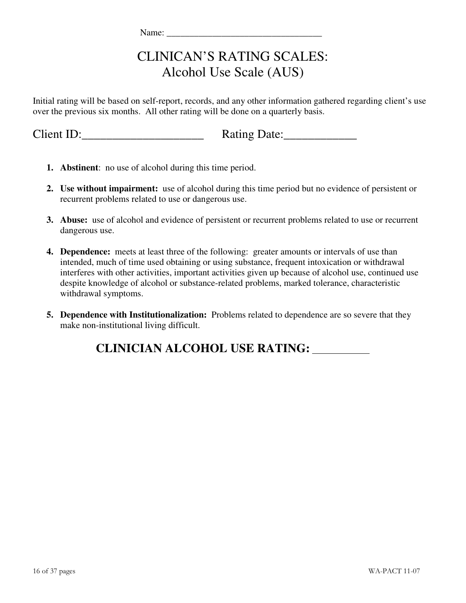# CLINICAN'S RATING SCALES: Alcohol Use Scale (AUS)

Initial rating will be based on self-report, records, and any other information gathered regarding client's use over the previous six months. All other rating will be done on a quarterly basis.

Client ID:\_\_\_\_\_\_\_\_\_\_\_\_\_\_\_\_\_\_\_\_ Rating Date:\_\_\_\_\_\_\_\_\_\_\_\_

| Rating Date: |
|--------------|
|--------------|

- **1. Abstinent**: no use of alcohol during this time period.
- **2. Use without impairment:** use of alcohol during this time period but no evidence of persistent or recurrent problems related to use or dangerous use.
- **3. Abuse:** use of alcohol and evidence of persistent or recurrent problems related to use or recurrent dangerous use.
- **4. Dependence:** meets at least three of the following: greater amounts or intervals of use than intended, much of time used obtaining or using substance, frequent intoxication or withdrawal interferes with other activities, important activities given up because of alcohol use, continued use despite knowledge of alcohol or substance-related problems, marked tolerance, characteristic withdrawal symptoms.
- **5. Dependence with Institutionalization:** Problems related to dependence are so severe that they make non-institutional living difficult.

**CLINICIAN ALCOHOL USE RATING:**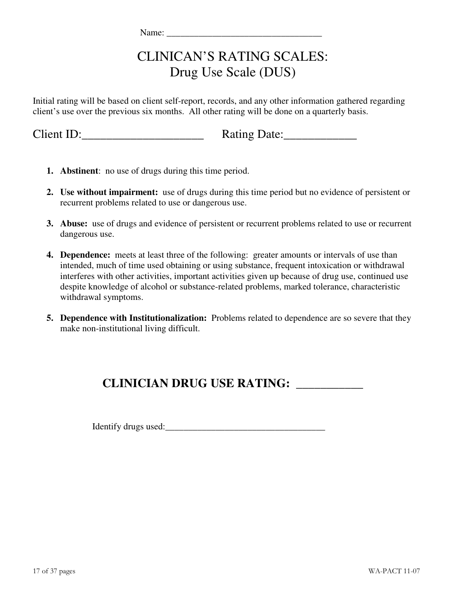# CLINICAN'S RATING SCALES: Drug Use Scale (DUS)

Initial rating will be based on client self-report, records, and any other information gathered regarding client's use over the previous six months. All other rating will be done on a quarterly basis.

Client ID:\_\_\_\_\_\_\_\_\_\_\_\_\_\_\_\_\_\_\_\_ Rating Date:\_\_\_\_\_\_\_\_\_\_\_\_

| Rating Date: |  |  |
|--------------|--|--|
|              |  |  |

- **1. Abstinent**: no use of drugs during this time period.
- **2. Use without impairment:** use of drugs during this time period but no evidence of persistent or recurrent problems related to use or dangerous use.
- **3. Abuse:** use of drugs and evidence of persistent or recurrent problems related to use or recurrent dangerous use.
- **4. Dependence:** meets at least three of the following: greater amounts or intervals of use than intended, much of time used obtaining or using substance, frequent intoxication or withdrawal interferes with other activities, important activities given up because of drug use, continued use despite knowledge of alcohol or substance-related problems, marked tolerance, characteristic withdrawal symptoms.
- **5. Dependence with Institutionalization:** Problems related to dependence are so severe that they make non-institutional living difficult.

## **CLINICIAN DRUG USE RATING: \_\_\_\_\_\_\_\_\_\_\_**

Identify drugs used:\_\_\_\_\_\_\_\_\_\_\_\_\_\_\_\_\_\_\_\_\_\_\_\_\_\_\_\_\_\_\_\_\_\_\_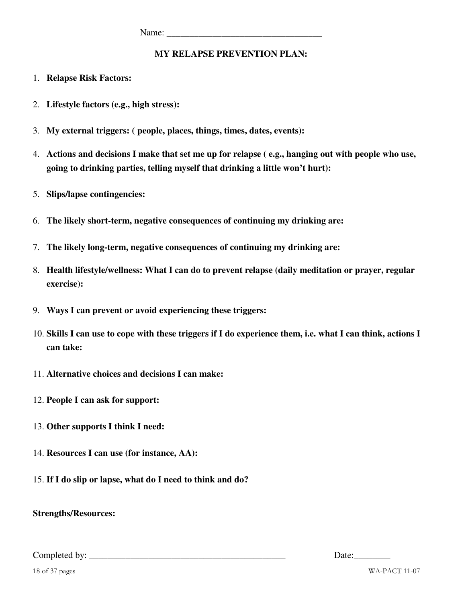#### **MY RELAPSE PREVENTION PLAN:**

- 1. **Relapse Risk Factors:**
- 2. **Lifestyle factors (e.g., high stress):**
- 3. **My external triggers: ( people, places, things, times, dates, events):**
- 4. **Actions and decisions I make that set me up for relapse ( e.g., hanging out with people who use, going to drinking parties, telling myself that drinking a little won't hurt):**
- 5. **Slips/lapse contingencies:**
- 6. **The likely short-term, negative consequences of continuing my drinking are:**
- 7. **The likely long-term, negative consequences of continuing my drinking are:**
- 8. **Health lifestyle/wellness: What I can do to prevent relapse (daily meditation or prayer, regular exercise):**
- 9. **Ways I can prevent or avoid experiencing these triggers:**
- 10. **Skills I can use to cope with these triggers if I do experience them, i.e. what I can think, actions I can take:**
- 11. **Alternative choices and decisions I can make:**
- 12. **People I can ask for support:**
- 13. **Other supports I think I need:**
- 14. **Resources I can use (for instance, AA):**
- 15. **If I do slip or lapse, what do I need to think and do?**

**Strengths/Resources:** 

Completed by: \_\_\_\_\_\_\_\_\_\_\_\_\_\_\_\_\_\_\_\_\_\_\_\_\_\_\_\_\_\_\_\_\_\_\_\_\_\_\_\_\_\_\_ Date:\_\_\_\_\_\_\_\_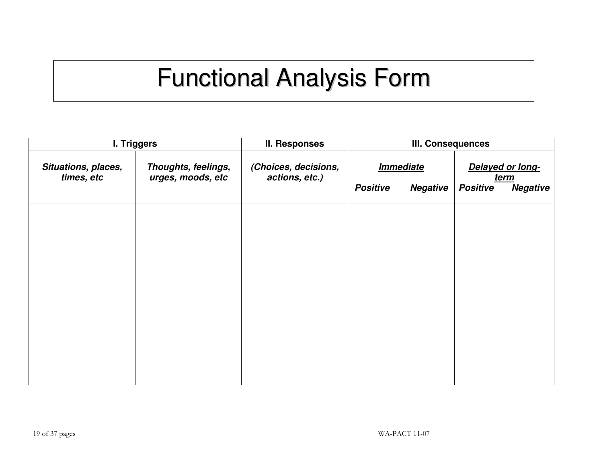# Functional Analysis Form

|                                   | <b>I. Triggers</b>                       | <b>II. Responses</b>                   | <b>III. Consequences</b> |                                |                 |                                 |
|-----------------------------------|------------------------------------------|----------------------------------------|--------------------------|--------------------------------|-----------------|---------------------------------|
| Situations, places,<br>times, etc | Thoughts, feelings,<br>urges, moods, etc | (Choices, decisions,<br>actions, etc.) |                          | <i><u><b>Immediate</b></u></i> |                 | Delayed or long-<br><u>term</u> |
|                                   |                                          |                                        | <b>Positive</b>          | <b>Negative</b>                | <b>Positive</b> | <b>Negative</b>                 |
|                                   |                                          |                                        |                          |                                |                 |                                 |
|                                   |                                          |                                        |                          |                                |                 |                                 |
|                                   |                                          |                                        |                          |                                |                 |                                 |
|                                   |                                          |                                        |                          |                                |                 |                                 |
|                                   |                                          |                                        |                          |                                |                 |                                 |
|                                   |                                          |                                        |                          |                                |                 |                                 |
|                                   |                                          |                                        |                          |                                |                 |                                 |
|                                   |                                          |                                        |                          |                                |                 |                                 |
|                                   |                                          |                                        |                          |                                |                 |                                 |
|                                   |                                          |                                        |                          |                                |                 |                                 |
|                                   |                                          |                                        |                          |                                |                 |                                 |
|                                   |                                          |                                        |                          |                                |                 |                                 |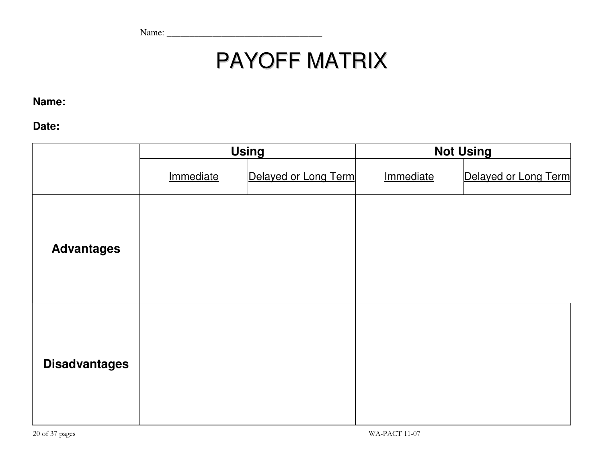Name: \_\_\_\_\_\_\_\_\_\_\_\_\_\_\_\_\_\_\_\_\_\_\_\_\_\_\_\_\_\_\_\_\_\_

# PAYOFF MATRIX

**Name:** 

**Date:**

|                      | <b>Using</b> |                      |           | <b>Not Using</b>     |
|----------------------|--------------|----------------------|-----------|----------------------|
|                      | Immediate    | Delayed or Long Term | Immediate | Delayed or Long Term |
| <b>Advantages</b>    |              |                      |           |                      |
| <b>Disadvantages</b> |              |                      |           |                      |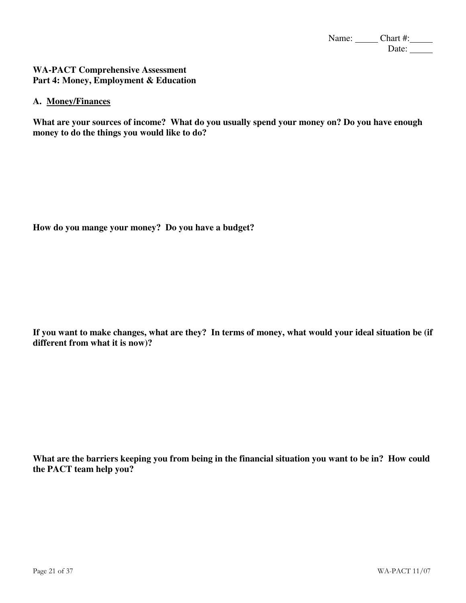Name: Chart #: Date:

#### **WA-PACT Comprehensive Assessment Part 4: Money, Employment & Education**

#### **A. Money/Finances**

**What are your sources of income? What do you usually spend your money on? Do you have enough money to do the things you would like to do?** 

**How do you mange your money? Do you have a budget?** 

**If you want to make changes, what are they? In terms of money, what would your ideal situation be (if different from what it is now)?** 

**What are the barriers keeping you from being in the financial situation you want to be in? How could the PACT team help you?**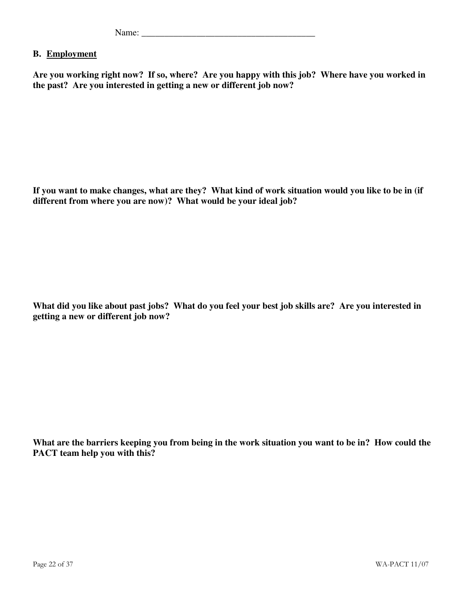| - - |  |
|-----|--|
|-----|--|

#### **B. Employment**

**Are you working right now? If so, where? Are you happy with this job? Where have you worked in the past? Are you interested in getting a new or different job now?** 

**If you want to make changes, what are they? What kind of work situation would you like to be in (if different from where you are now)? What would be your ideal job?** 

**What did you like about past jobs? What do you feel your best job skills are? Are you interested in getting a new or different job now?** 

**What are the barriers keeping you from being in the work situation you want to be in? How could the PACT team help you with this?**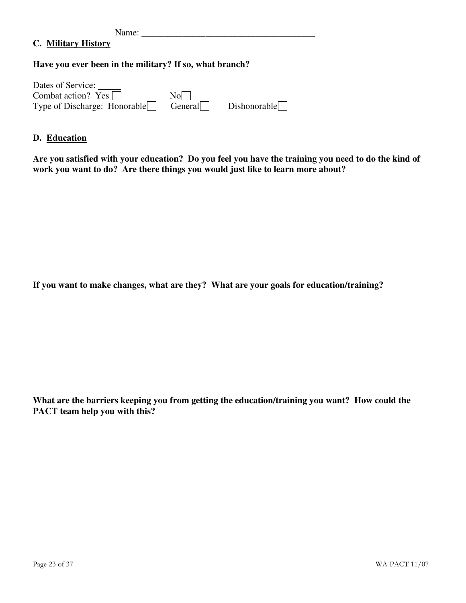Name: \_\_\_\_\_\_\_\_\_\_\_\_\_\_\_\_\_\_\_\_\_\_\_\_\_\_\_\_\_\_\_\_\_\_\_\_\_\_

#### **C. Military History**

#### **Have you ever been in the military? If so, what branch?**

| Dates of Service:                   |         |              |
|-------------------------------------|---------|--------------|
| Combat action? $Yes \mid \mid$      | No.     |              |
| Type of Discharge: Honorable $\Box$ | General | Dishonorable |

#### **D. Education**

**Are you satisfied with your education? Do you feel you have the training you need to do the kind of work you want to do? Are there things you would just like to learn more about?** 

**If you want to make changes, what are they? What are your goals for education/training?** 

**What are the barriers keeping you from getting the education/training you want? How could the PACT team help you with this?**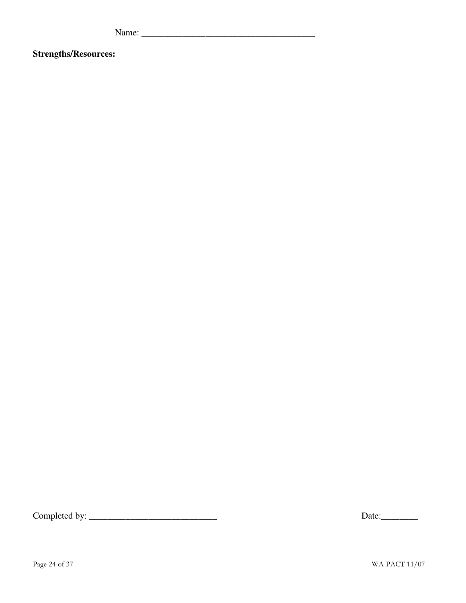Name: \_\_\_\_\_\_\_\_\_\_\_\_\_\_\_\_\_\_\_\_\_\_\_\_\_\_\_\_\_\_\_\_\_\_\_\_\_\_

**Strengths/Resources:** 

Completed by: \_\_\_\_\_\_\_\_\_\_\_\_\_\_\_\_\_\_\_\_\_\_\_\_\_\_\_\_ Date:\_\_\_\_\_\_\_\_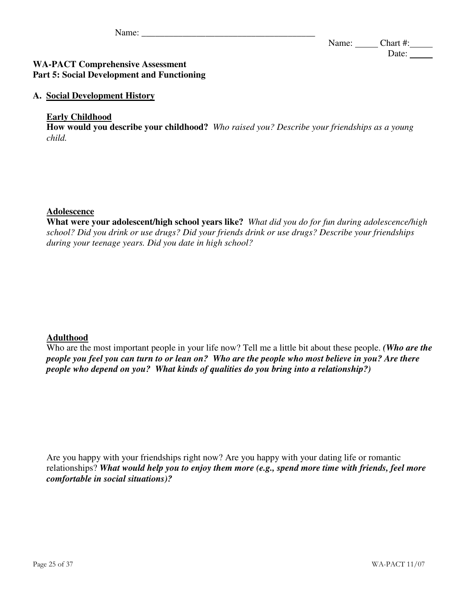#### **WA-PACT Comprehensive Assessment Part 5: Social Development and Functioning**

#### **A. Social Development History**

#### **Early Childhood**

**How would you describe your childhood?** *Who raised you? Describe your friendships as a young child.*

#### **Adolescence**

**What were your adolescent/high school years like?** *What did you do for fun during adolescence/high school? Did you drink or use drugs? Did your friends drink or use drugs? Describe your friendships during your teenage years. Did you date in high school?*

#### **Adulthood**

Who are the most important people in your life now? Tell me a little bit about these people. *(Who are the people you feel you can turn to or lean on? Who are the people who most believe in you? Are there people who depend on you? What kinds of qualities do you bring into a relationship?)* 

Are you happy with your friendships right now? Are you happy with your dating life or romantic relationships? *What would help you to enjoy them more (e.g., spend more time with friends, feel more comfortable in social situations)?*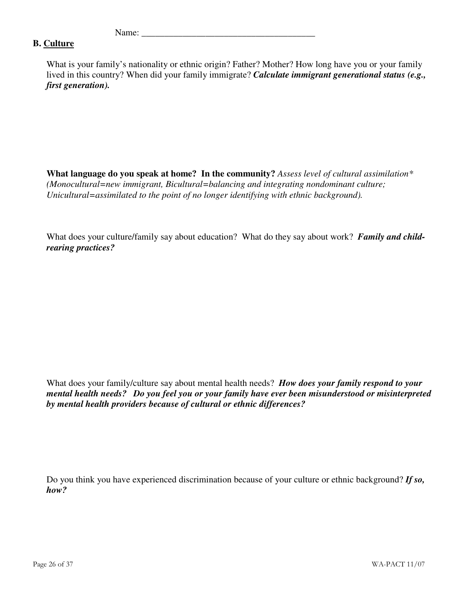#### **B. Culture**

What is your family's nationality or ethnic origin? Father? Mother? How long have you or your family lived in this country? When did your family immigrate? *Calculate immigrant generational status (e.g., first generation).* 

**What language do you speak at home? In the community?** *Assess level of cultural assimilation\* (Monocultural=new immigrant, Bicultural=balancing and integrating nondominant culture; Unicultural=assimilated to the point of no longer identifying with ethnic background).*

What does your culture/family say about education? What do they say about work? *Family and childrearing practices?* 

What does your family/culture say about mental health needs? *How does your family respond to your mental health needs? Do you feel you or your family have ever been misunderstood or misinterpreted by mental health providers because of cultural or ethnic differences?* 

Do you think you have experienced discrimination because of your culture or ethnic background? *If so, how?*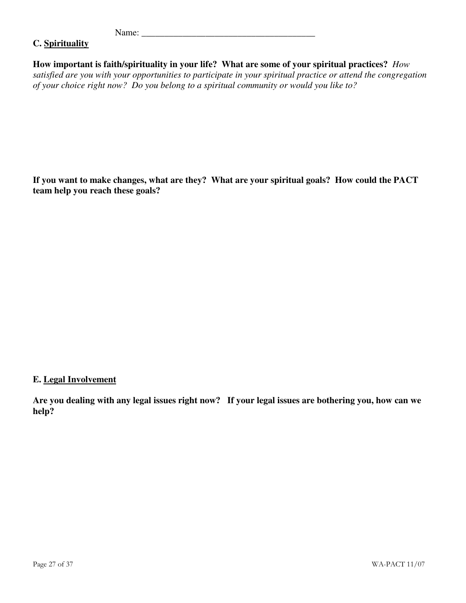#### **C. Spirituality**

**How important is faith/spirituality in your life? What are some of your spiritual practices?** *How satisfied are you with your opportunities to participate in your spiritual practice or attend the congregation of your choice right now? Do you belong to a spiritual community or would you like to?*

**If you want to make changes, what are they? What are your spiritual goals? How could the PACT team help you reach these goals?** 

#### **E. Legal Involvement**

**Are you dealing with any legal issues right now? If your legal issues are bothering you, how can we help?**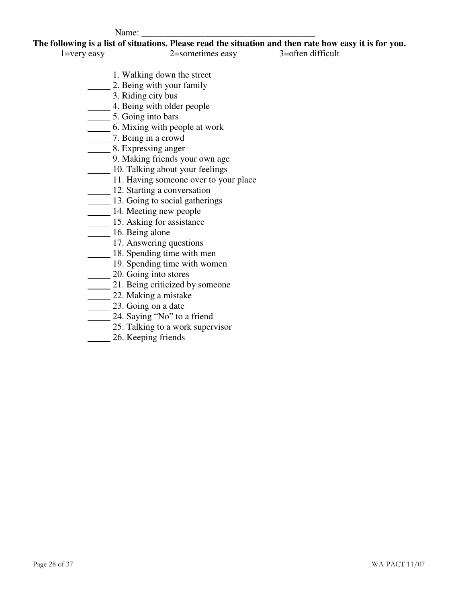**The following is a list of situations. Please read the situation and then rate how easy it is for you.** 

1=very easy 2=sometimes easy 3=often difficult

- 1. Walking down the street
- **2.** Being with your family
- 3. Riding city bus
- 1. Being with older people
- 5. Going into bars
- **6.** Mixing with people at work
- 7. Being in a crowd
	- 8. Expressing anger
	- 9. Making friends your own age
	- 10. Talking about your feelings
	- 11. Having someone over to your place
	- 12. Starting a conversation
	- 13. Going to social gatherings
	- 14. Meeting new people
	- 15. Asking for assistance
	- 16. Being alone
	- 17. Answering questions
	- 18. Spending time with men
	- 19. Spending time with women
	- 20. Going into stores
	- 21. Being criticized by someone
	- 22. Making a mistake
	- 23. Going on a date
	- 24. Saying "No" to a friend
	- 25. Talking to a work supervisor
	- 26. Keeping friends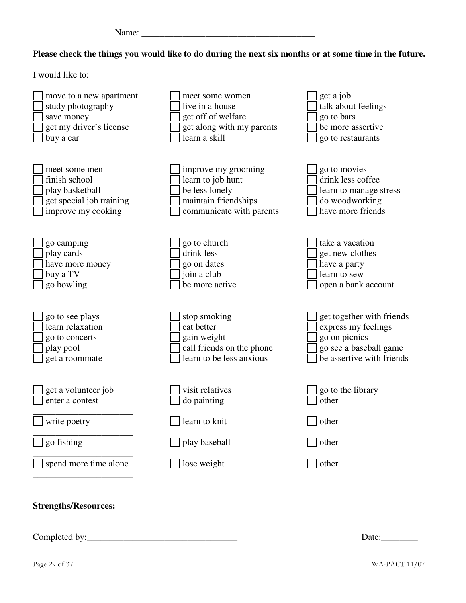| - - |
|-----|
|-----|

#### **Please check the things you would like to do during the next six months or at some time in the future.**

I would like to:

| move to a new apartment     | meet some women           | get a job                 |
|-----------------------------|---------------------------|---------------------------|
| study photography           | live in a house           | talk about feelings       |
| save money                  | get off of welfare        | go to bars                |
| get my driver's license     | get along with my parents | be more assertive         |
| buy a car                   | learn a skill             | go to restaurants         |
| meet some men               | improve my grooming       | go to movies              |
| finish school               | learn to job hunt         | drink less coffee         |
| play basketball             | be less lonely            | learn to manage stress    |
| get special job training    | maintain friendships      | do woodworking            |
| improve my cooking          | communicate with parents  | have more friends         |
| go camping                  | go to church              | take a vacation           |
| play cards                  | drink less                | get new clothes           |
| have more money             | go on dates               | have a party              |
| buy a TV                    | join a club               | learn to sew              |
| go bowling                  | be more active            | open a bank account       |
| go to see plays             | stop smoking              | get together with friends |
| learn relaxation            | eat better                | express my feelings       |
| go to concerts              | gain weight               | go on picnics             |
| play pool                   | call friends on the phone | go see a baseball game    |
| get a roommate              | learn to be less anxious  | be assertive with friends |
| get a volunteer job         | visit relatives           | go to the library         |
| enter a contest             | do painting               | other                     |
| write poetry                | learn to knit             | other                     |
| go fishing                  | play baseball             | other                     |
| spend more time alone       | lose weight               | other                     |
| <b>Strengths/Resources:</b> |                           |                           |

Completed by:\_\_\_\_\_\_\_\_\_\_\_\_\_\_\_\_\_\_\_\_\_\_\_\_\_\_\_\_\_\_\_\_\_ Date:\_\_\_\_\_\_\_\_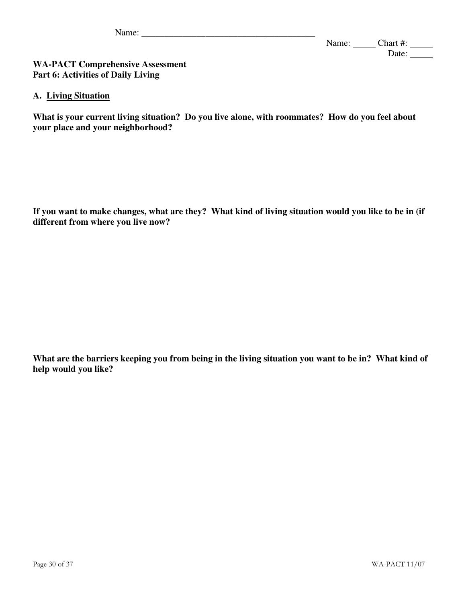#### **WA-PACT Comprehensive Assessment Part 6: Activities of Daily Living**

#### **A. Living Situation**

**What is your current living situation? Do you live alone, with roommates? How do you feel about your place and your neighborhood?** 

**If you want to make changes, what are they? What kind of living situation would you like to be in (if different from where you live now?** 

**What are the barriers keeping you from being in the living situation you want to be in? What kind of help would you like?**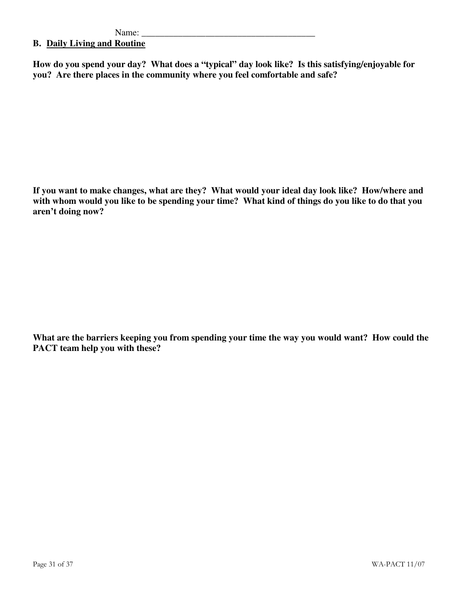#### **B. Daily Living and Routine**

**How do you spend your day? What does a "typical" day look like? Is this satisfying/enjoyable for you? Are there places in the community where you feel comfortable and safe?** 

**If you want to make changes, what are they? What would your ideal day look like? How/where and with whom would you like to be spending your time? What kind of things do you like to do that you aren't doing now?** 

**What are the barriers keeping you from spending your time the way you would want? How could the PACT team help you with these?**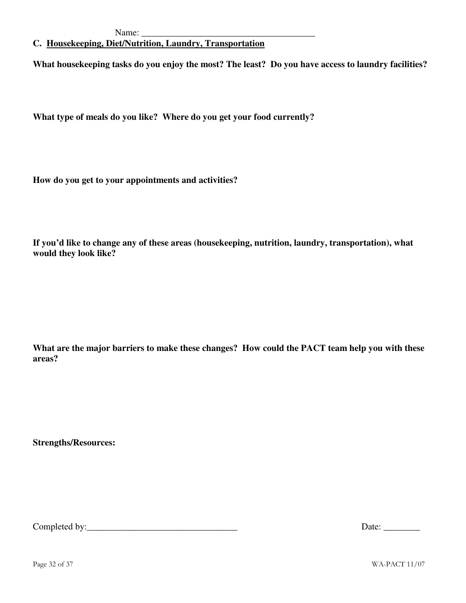#### **C. Housekeeping, Diet/Nutrition, Laundry, Transportation**

**What housekeeping tasks do you enjoy the most? The least? Do you have access to laundry facilities?** 

**What type of meals do you like? Where do you get your food currently?**

**How do you get to your appointments and activities?**

**If you'd like to change any of these areas (housekeeping, nutrition, laundry, transportation), what would they look like?** 

**What are the major barriers to make these changes? How could the PACT team help you with these areas?** 

**Strengths/Resources:** 

Completed by:\_\_\_\_\_\_\_\_\_\_\_\_\_\_\_\_\_\_\_\_\_\_\_\_\_\_\_\_\_\_\_\_\_ Date: \_\_\_\_\_\_\_\_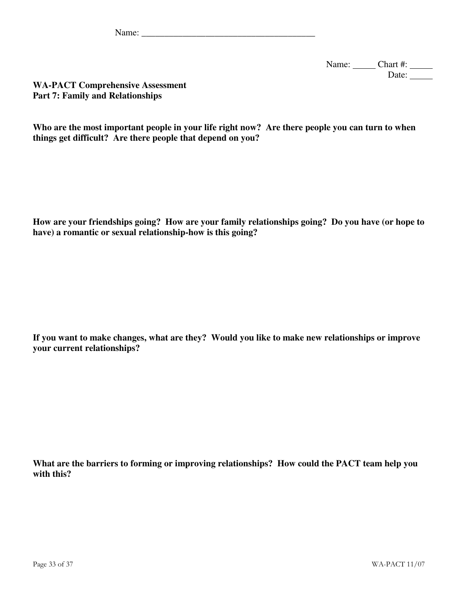Name: Chart #: \_\_\_\_\_\_ Date:

**WA-PACT Comprehensive Assessment Part 7: Family and Relationships** 

**Who are the most important people in your life right now? Are there people you can turn to when things get difficult? Are there people that depend on you?** 

**How are your friendships going? How are your family relationships going? Do you have (or hope to have) a romantic or sexual relationship-how is this going?** 

**If you want to make changes, what are they? Would you like to make new relationships or improve your current relationships?** 

**What are the barriers to forming or improving relationships? How could the PACT team help you with this?**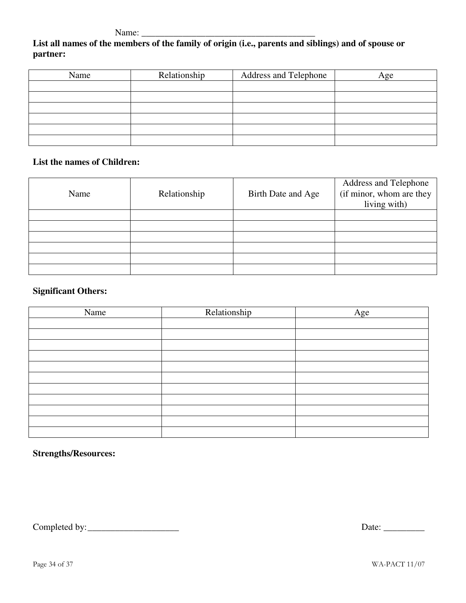Name: \_\_\_\_\_\_\_\_\_\_\_\_\_\_\_\_\_\_\_\_\_\_\_\_\_\_\_\_\_\_\_\_\_\_\_\_\_\_

### **List all names of the members of the family of origin (i.e., parents and siblings) and of spouse or partner:**

| Name | Relationship | Address and Telephone | Age |
|------|--------------|-----------------------|-----|
|      |              |                       |     |
|      |              |                       |     |
|      |              |                       |     |
|      |              |                       |     |
|      |              |                       |     |
|      |              |                       |     |

#### **List the names of Children:**

| Name | Relationship | Birth Date and Age | <b>Address and Telephone</b><br>(if minor, whom are they<br>living with) |
|------|--------------|--------------------|--------------------------------------------------------------------------|
|      |              |                    |                                                                          |
|      |              |                    |                                                                          |
|      |              |                    |                                                                          |
|      |              |                    |                                                                          |
|      |              |                    |                                                                          |
|      |              |                    |                                                                          |

#### **Significant Others:**

| Name | Relationship | Age |
|------|--------------|-----|
|      |              |     |
|      |              |     |
|      |              |     |
|      |              |     |
|      |              |     |
|      |              |     |
|      |              |     |
|      |              |     |
|      |              |     |
|      |              |     |
|      |              |     |

#### **Strengths/Resources:**

Completed by: \_\_\_\_\_\_\_\_\_\_\_\_\_\_\_\_\_\_\_\_ Date: \_\_\_\_\_\_\_\_\_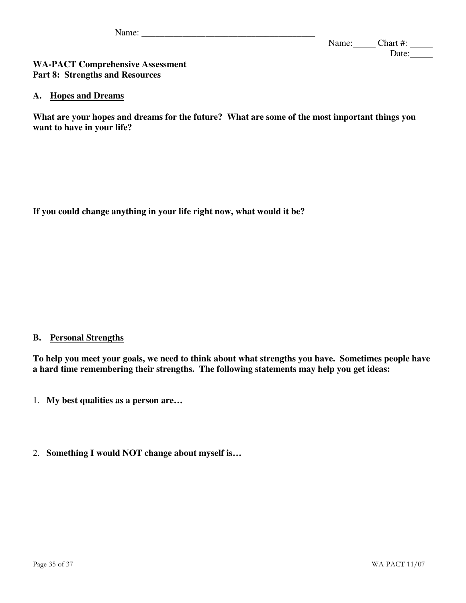#### **WA-PACT Comprehensive Assessment Part 8: Strengths and Resources**

#### **A. Hopes and Dreams**

**What are your hopes and dreams for the future? What are some of the most important things you want to have in your life?** 

**If you could change anything in your life right now, what would it be?** 

#### **B. Personal Strengths**

**To help you meet your goals, we need to think about what strengths you have. Sometimes people have a hard time remembering their strengths. The following statements may help you get ideas:** 

- 1. **My best qualities as a person are…**
- 2. **Something I would NOT change about myself is…**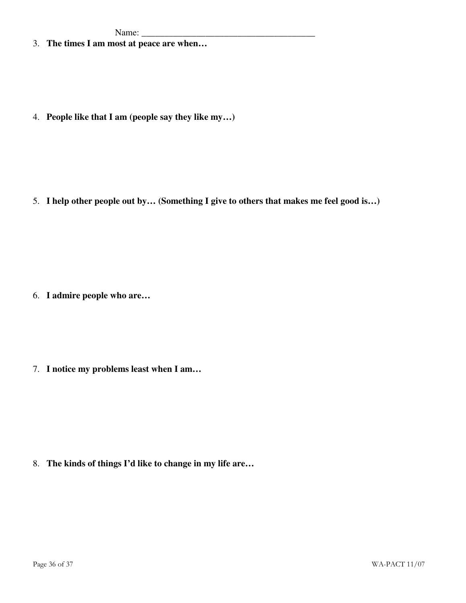3. **The times I am most at peace are when…** 

4. **People like that I am (people say they like my…)** 

5. **I help other people out by… (Something I give to others that makes me feel good is…)** 

6. **I admire people who are…**

7. **I notice my problems least when I am…** 

8. **The kinds of things I'd like to change in my life are…**